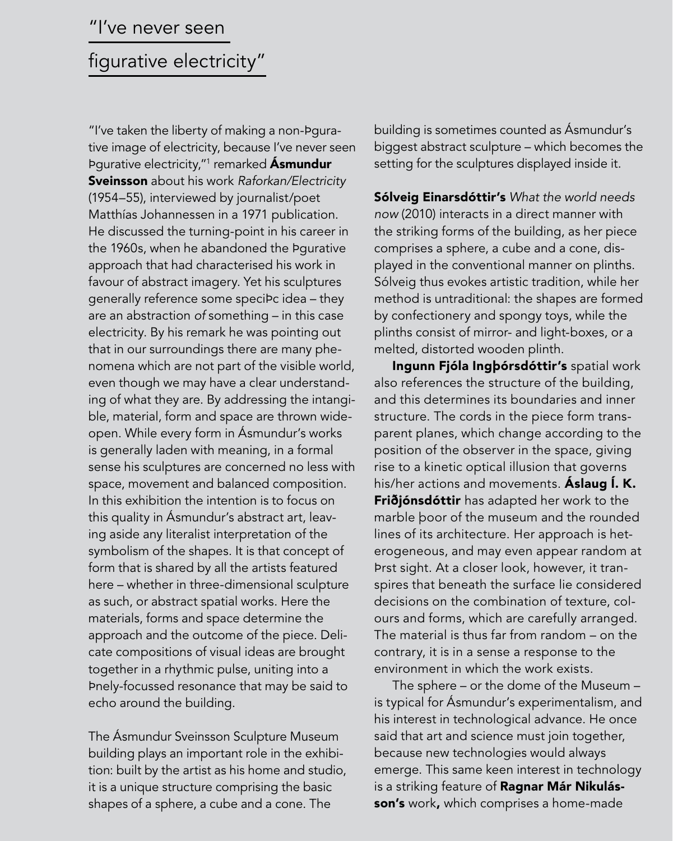# 'I've never seen

# figurative electricity"

"I've taken the liberty of making a non-Pqurative image of electricity, because I've never seen Þgurative electricity,"<sup>1</sup> remarked **Asmundur** Sveinsson about his work Raforkan/Electricity (1954–55), interviewed by journalist/poet Matthías Johannessen in a 1971 publication. He discussed the turning-point in his career in the 1960s, when he abandoned the Þgurative approach that had characterised his work in favour of abstract imagery. Yet his sculptures generally reference some speciÞc idea - they are an abstraction of something – in this case electricity. By his remark he was pointing out that in our surroundings there are many phenomena which are not part of the visible world, even though we may have a clear understanding of what they are. By addressing the intangible, material, form and space are thrown wideopen. While every form in Ásmundur's works is generally laden with meaning, in a formal sense his sculptures are concerned no less with space, movement and balanced composition. In this exhibition the intention is to focus on this quality in Ásmundur's abstract art, leaving aside any literalist interpretation of the symbolism of the shapes. It is that concept of form that is shared by all the artists featured here – whether in three-dimensional sculpture as such, or abstract spatial works. Here the materials, forms and space determine the approach and the outcome of the piece. Delicate compositions of visual ideas are brought together in a rhythmic pulse, uniting into a finely-focussed resonance that may be said to echo around the building.

The Ásmundur Sveinsson Sculpture Museum building plays an important role in the exhibition: built by the artist as his home and studio, it is a unique structure comprising the basic shapes of a sphere, a cube and a cone. The

building is sometimes counted as Ásmundur's biggest abstract sculpture – which becomes the setting for the sculptures displayed inside it.

Sólveig Einarsdóttir's What the world needs now (2010) interacts in a direct manner with the striking forms of the building, as her piece comprises a sphere, a cube and a cone, displayed in the conventional manner on plinths. Sólveig thus evokes artistic tradition, while her method is untraditional: the shapes are formed by confectionery and spongy toys, while the plinths consist of mirror- and light-boxes, or a melted, distorted wooden plinth.

Ingunn Fjóla Ingþórsdóttir's spatial work also references the structure of the building, and this determines its boundaries and inner structure. The cords in the piece form transparent planes, which change according to the position of the observer in the space, giving rise to a kinetic optical illusion that governs his/her actions and movements. **Áslaug Í. K.** Friðjónsdóttir has adapted her work to the marble boor of the museum and the rounded lines of its architecture. Her approach is heterogeneous, and may even appear random at first sight. At a closer look, however, it transpires that beneath the surface lie considered decisions on the combination of texture, colours and forms, which are carefully arranged. The material is thus far from random – on the contrary, it is in a sense a response to the environment in which the work exists.

The sphere – or the dome of the Museum – is typical for Ásmundur's experimentalism, and his interest in technological advance. He once said that art and science must join together, because new technologies would always emerge. This same keen interest in technology is a striking feature of Ragnar Már Nikulásson's work, which comprises a home-made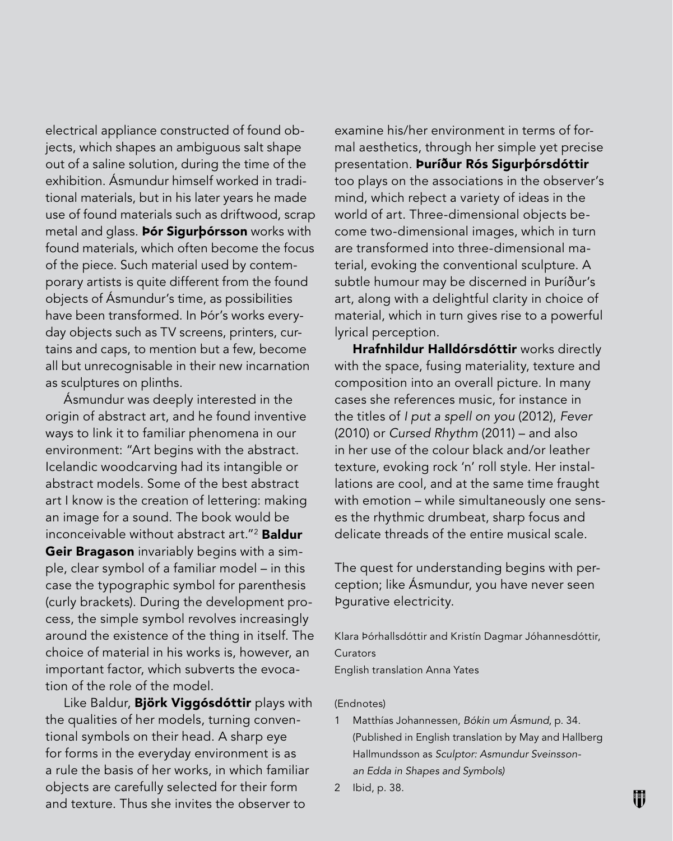electrical appliance constructed of found objects, which shapes an ambiguous salt shape out of a saline solution, during the time of the exhibition. Ásmundur himself worked in traditional materials, but in his later years he made use of found materials such as driftwood, scrap metal and glass. **Þór Sigurbórsson** works with found materials, which often become the focus of the piece. Such material used by contemporary artists is quite different from the found objects of Ásmundur's time, as possibilities have been transformed. In Þór's works everyday objects such as TV screens, printers, curtains and caps, to mention but a few, become all but unrecognisable in their new incarnation as sculptures on plinths.

Ásmundur was deeply interested in the origin of abstract art, and he found inventive ways to link it to familiar phenomena in our environment: "Art begins with the abstract. Icelandic woodcarving had its intangible or abstract models. Some of the best abstract art I know is the creation of lettering: making an image for a sound. The book would be inconceivable without abstract art."<sup>2</sup> Baldur **Geir Bragason** invariably begins with a simple, clear symbol of a familiar model – in this case the typographic symbol for parenthesis (curly brackets). During the development process, the simple symbol revolves increasingly around the existence of the thing in itself. The choice of material in his works is, however, an important factor, which subverts the evocation of the role of the model.

Like Baldur, Björk Viggósdóttir plays with the qualities of her models, turning conventional symbols on their head. A sharp eye for forms in the everyday environment is as a rule the basis of her works, in which familiar objects are carefully selected for their form and texture. Thus she invites the observer to

examine his/her environment in terms of formal aesthetics, through her simple yet precise presentation. Þuríður Rós Sigurþórsdóttir too plays on the associations in the observer's mind, which rebect a variety of ideas in the world of art. Three-dimensional objects become two-dimensional images, which in turn are transformed into three-dimensional material, evoking the conventional sculpture. A subtle humour may be discerned in Þuríður's art, along with a delightful clarity in choice of material, which in turn gives rise to a powerful lyrical perception.

Hrafnhildur Halldórsdóttir works directly with the space, fusing materiality, texture and composition into an overall picture. In many cases she references music, for instance in the titles of I put a spell on you (2012), Fever (2010) or Cursed Rhythm (2011) – and also in her use of the colour black and/or leather texture, evoking rock 'n' roll style. Her installations are cool, and at the same time fraught with emotion – while simultaneously one senses the rhythmic drumbeat, sharp focus and delicate threads of the entire musical scale.

The quest for understanding begins with perception; like Ásmundur, you have never seen bqurative electricity.

Klara Þórhallsdóttir and Kristín Dagmar Jóhannesdóttir, Curators English translation Anna Yates

### (Endnotes)

- 1 Matthías Johannessen, Bókin um Ásmund, p. 34. (Published in English translation by May and Hallberg Hallmundsson as Sculptor: Asmundur Sveinssonan Edda in Shapes and Symbols)
- 2 Ibid, p. 38.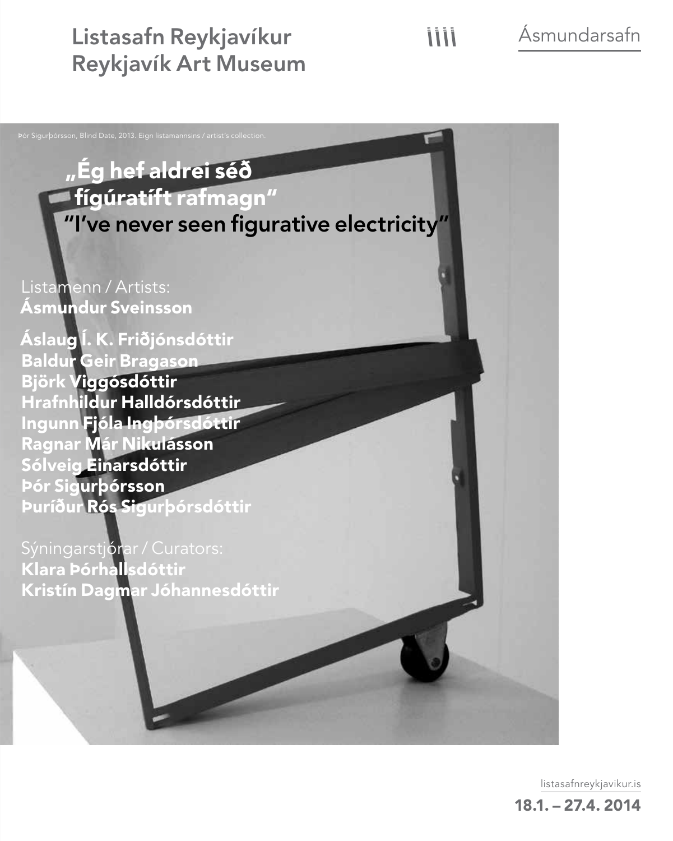Listasafn Reykjavíkur Reykjavík Art Museum Ásmundarsafn



listasafnreykjavikur.is

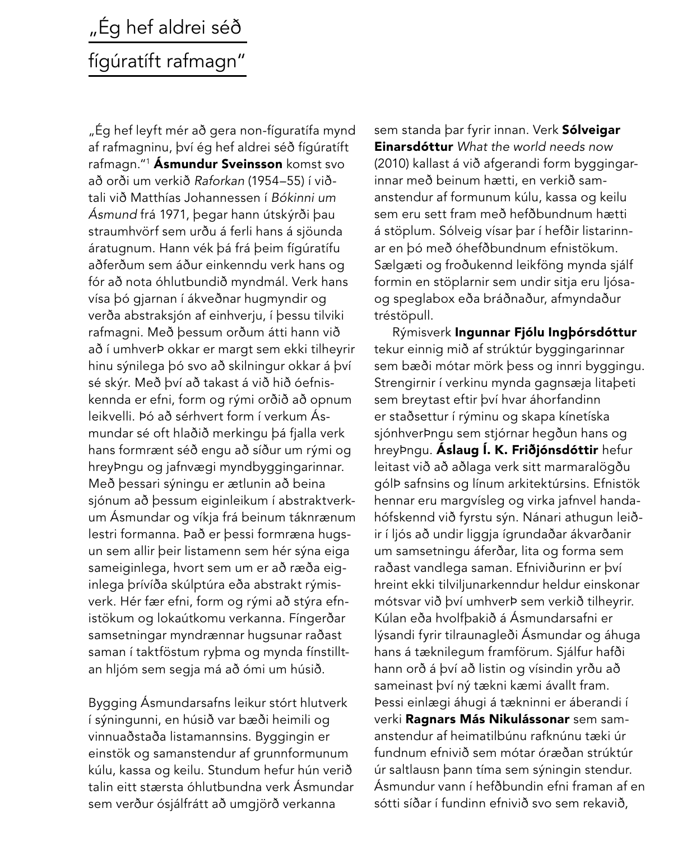# "Ég hef aldrei séð fígúratíft rafmagn"

"Ég hef leyft mér að gera non-fíguratífa mynd af rafmagninu, því ég hef aldrei séð fígúratíft rafmagn."1 Ásmundur Sveinsson komst svo að orði um verkið Raforkan (1954–55) í viðtali við Matthías Johannessen í Bókinni um Ásmund frá 1971, þegar hann útskýrði þau straumhvörf sem urðu á ferli hans á sjöunda áratugnum. Hann vék þá frá þeim fígúratífu aðferðum sem áður einkenndu verk hans og fór að nota óhlutbundið myndmál. Verk hans vísa þó gjarnan í ákveðnar hugmyndir og verða abstraksjón af einhverju, í þessu tilviki rafmagni. Með þessum orðum átti hann við að í umhverÞ okkar er margt sem ekki tilheyrir hinu sýnilega þó svo að skilningur okkar á því sé skýr. Með því að takast á við hið óefniskennda er efni, form og rými orðið að opnum leikvelli. Þó að sérhvert form í verkum Ásmundar sé oft hlaðið merkingu þá fjalla verk hans formrænt séð engu að síður um rými og hreyþngu og jafnvægi myndbyggingarinnar. Með þessari sýningu er ætlunin að beina sjónum að þessum eiginleikum í abstraktverkum Ásmundar og víkja frá beinum táknrænum lestri formanna. Það er þessi formræna hugsun sem allir þeir listamenn sem hér sýna eiga sameiginlega, hvort sem um er að ræða eiginlega þrívíða skúlptúra eða abstrakt rýmisverk. Hér fær efni, form og rými að stýra efnistökum og lokaútkomu verkanna. Fíngerðar samsetningar myndrænnar hugsunar raðast saman í taktföstum ryþma og mynda fínstilltan hljóm sem segja má að ómi um húsið.

Bygging Ásmundarsafns leikur stórt hlutverk í sýningunni, en húsið var bæði heimili og vinnuaðstaða listamannsins. Byggingin er einstök og samanstendur af grunnformunum kúlu, kassa og keilu. Stundum hefur hún verið talin eitt stærsta óhlutbundna verk Ásmundar sem verður ósjálfrátt að umgjörð verkanna

sem standa þar fyrir innan. Verk Sólveigar **Einarsdóttur** What the world needs now (2010) kallast á við afgerandi form byggingarinnar með beinum hætti, en verkið samanstendur af formunum kúlu, kassa og keilu sem eru sett fram með hefðbundnum hætti á stöplum. Sólveig vísar þar í hefðir listarinnar en þó með óhefðbundnum efnistökum. Sælgæti og froðukennd leikföng mynda sjálf formin en stöplarnir sem undir sitja eru ljósaog speglabox eða bráðnaður, afmyndaður tréstöpull.

Rýmisverk Ingunnar Fjólu Ingþórsdóttur tekur einnig mið af strúktúr byggingarinnar sem bæði mótar mörk þess og innri byggingu. Strengirnir í verkinu mynda gagnsæja litabeti sem breytast eftir því hvar áhorfandinn er staðsettur í rýminu og skapa kínetíska sjónhverþngu sem stjórnar hegðun hans og hreyÞngu. Áslaug Í. K. Friðjónsdóttir hefur leitast við að aðlaga verk sitt marmaralögðu gólþ safnsins og línum arkitektúrsins. Efnistök hennar eru margvísleg og virka jafnvel handahófskennd við fyrstu sýn. Nánari athugun leiðir í ljós að undir liggja ígrundaðar ákvarðanir um samsetningu áferðar, lita og forma sem raðast vandlega saman. Efniviðurinn er því hreint ekki tilviljunarkenndur heldur einskonar mótsvar við því umhverþ sem verkið tilheyrir. Kúlan eða hvolfþakið á Ásmundarsafni er lýsandi fyrir tilraunagleði Ásmundar og áhuga hans á tæknilegum framförum. Sjálfur hafði hann orð á því að listin og vísindin yrðu að sameinast því ný tækni kæmi ávallt fram. Þessi einlægi áhugi á tækninni er áberandi í verki Ragnars Más Nikulássonar sem samanstendur af heimatilbúnu rafknúnu tæki úr fundnum efnivið sem mótar óræðan strúktúr úr saltlausn þann tíma sem sýningin stendur. Ásmundur vann í hefðbundin efni framan af en sótti síðar í fundinn efnivið svo sem rekavið,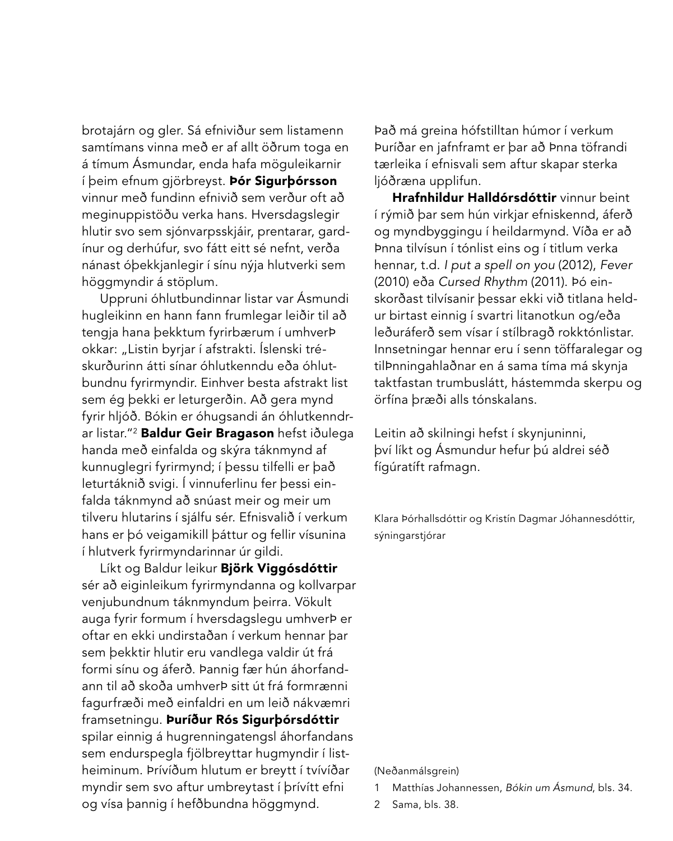brotajárn og gler. Sá efniviður sem listamenn samtímans vinna með er af allt öðrum toga en á tímum Ásmundar, enda hafa möguleikarnir í þeim efnum gjörbreyst. Þór Sigurþórsson vinnur með fundinn efnivið sem verður oft að meginuppistöðu verka hans. Hversdagslegir hlutir svo sem sjónvarpsskjáir, prentarar, gardínur og derhúfur, svo fátt eitt sé nefnt, verða nánast óþekkjanlegir í sínu nýja hlutverki sem höggmyndir á stöplum.

Uppruni óhlutbundinnar listar var Ásmundi hugleikinn en hann fann frumlegar leiðir til að tengja hana þekktum fyrirbærum í umhverÞ okkar: "Listin byrjar í afstrakti. Íslenski tréskurðurinn átti sínar óhlutkenndu eða óhlutbundnu fyrirmyndir. Einhver besta afstrakt list sem ég þekki er leturgerðin. Að gera mynd fyrir hljóð. Bókin er óhugsandi án óhlutkenndrar listar."<sup>2</sup> Baldur Geir Bragason hefst iðulega handa með einfalda og skýra táknmynd af kunnuglegri fyrirmynd; í þessu tilfelli er það leturtáknið svigi. Í vinnuferlinu fer þessi einfalda táknmynd að snúast meir og meir um tilveru hlutarins í sjálfu sér. Efnisvalið í verkum hans er þó veigamikill þáttur og fellir vísunina í hlutverk fyrirmyndarinnar úr gildi.

Líkt og Baldur leikur Björk Viggósdóttir sér að eiginleikum fyrirmyndanna og kollvarpar venjubundnum táknmyndum þeirra. Vökult auga fyrir formum í hversdagslegu umhverÞ er oftar en ekki undirstaðan í verkum hennar þar sem þekktir hlutir eru vandlega valdir út frá formi sínu og áferð. Þannig fær hún áhorfandann til að skoða umhverÞ sitt út frá formrænni fagurfræði með einfaldri en um leið nákvæmri framsetningu. Þuríður Rós Sigurþórsdóttir spilar einnig á hugrenningatengsl áhorfandans sem endurspegla fjölbreyttar hugmyndir í listheiminum. Þrívíðum hlutum er breytt í tvívíðar myndir sem svo aftur umbreytast í þrívítt efni og vísa þannig í hefðbundna höggmynd.

Það má greina hófstilltan húmor í verkum Þuríðar en jafnframt er þar að Þnna töfrandi tærleika í efnisvali sem aftur skapar sterka ljóðræna upplifun.

Hrafnhildur Halldórsdóttir vinnur beint í rýmið þar sem hún virkjar efniskennd, áferð og myndbyggingu í heildarmynd. Víða er að finna tilvísun í tónlist eins og í titlum verka hennar, t.d. I put a spell on you (2012), Fever (2010) eða Cursed Rhythm (2011). Þó einskorðast tilvísanir þessar ekki við titlana heldur birtast einnig í svartri litanotkun og/eða leðuráferð sem vísar í stílbragð rokktónlistar. Innsetningar hennar eru í senn töffaralegar og tilÞnningahlaðnar en á sama tíma má skynja taktfastan trumbuslátt, hástemmda skerpu og örfína þræði alls tónskalans.

Leitin að skilningi hefst í skynjuninni, því líkt og Ásmundur hefur þú aldrei séð fígúratíft rafmagn.

Klara Þórhallsdóttir og Kristín Dagmar Jóhannesdóttir, sýningarstjórar

### (Neðanmálsgrein)

- Matthías Johannessen, Bókin um Ásmund, bls. 34.
- 2 Sama, bls. 38.